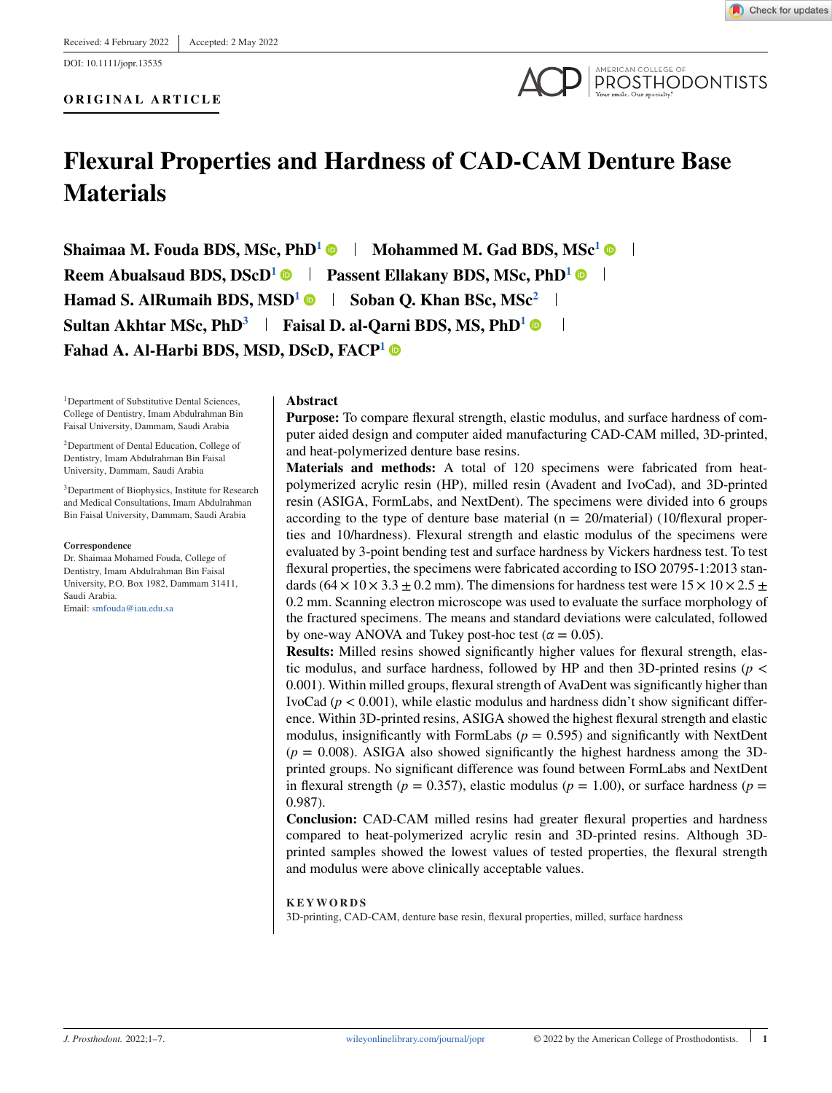DOI: 10.1111/jopr.13535



**PROSTHODONTISTS** 

# **Flexural Properties and Hardness of CAD-CAM Denture Base Materials**

**Shaimaa M. Fouda BDS, MSc, PhD<sup>1</sup> • Mohammed M. Gad BDS, MSc<sup>1</sup> • I Reem Abualsaud BDS, DScD<sup>1</sup>**  $\bullet$  **| Passent Ellakany BDS, MSc, PhD<sup>1</sup>**  $\bullet$  **| Hamad S. AlRumaih BDS, MSD<sup>1</sup> • Soban Q. Khan BSc, MSc<sup>2</sup> <sup>1</sup> Sultan Akhtar MSc, PhD<sup>3</sup> | Faisal D. al-Qarni BDS, MS, PhD<sup>1</sup> © | Fahad A. Al-Harbi BDS, MSD, DScD, FACP<sup>1</sup>**

<sup>1</sup>Department of Substitutive Dental Sciences, College of Dentistry, Imam Abdulrahman Bin Faisal University, Dammam, Saudi Arabia

2Department of Dental Education, College of Dentistry, Imam Abdulrahman Bin Faisal University, Dammam, Saudi Arabia

3Department of Biophysics, Institute for Research and Medical Consultations, Imam Abdulrahman Bin Faisal University, Dammam, Saudi Arabia

#### **Correspondence**

Dr. Shaimaa Mohamed Fouda, College of Dentistry, Imam Abdulrahman Bin Faisal University, P.O. Box 1982, Dammam 31411, Saudi Arabia. Email: [smfouda@iau.edu.sa](mailto:smfouda@iau.edu.sa)

### **Abstract**

**Purpose:** To compare flexural strength, elastic modulus, and surface hardness of computer aided design and computer aided manufacturing CAD-CAM milled, 3D-printed, and heat-polymerized denture base resins.

**Materials and methods:** A total of 120 specimens were fabricated from heatpolymerized acrylic resin (HP), milled resin (Avadent and IvoCad), and 3D-printed resin (ASIGA, FormLabs, and NextDent). The specimens were divided into 6 groups according to the type of denture base material ( $n = 20/m$ aterial) (10/flexural properties and 10/hardness). Flexural strength and elastic modulus of the specimens were evaluated by 3-point bending test and surface hardness by Vickers hardness test. To test flexural properties, the specimens were fabricated according to ISO 20795-1:2013 standards  $(64 \times 10 \times 3.3 \pm 0.2 \text{ mm})$ . The dimensions for hardness test were  $15 \times 10 \times 2.5 \pm 0.2 \text{ mm}$ 0.2 mm. Scanning electron microscope was used to evaluate the surface morphology of the fractured specimens. The means and standard deviations were calculated, followed by one-way ANOVA and Tukey post-hoc test ( $\alpha = 0.05$ ).

**Results:** Milled resins showed significantly higher values for flexural strength, elastic modulus, and surface hardness, followed by HP and then 3D-printed resins ( $p <$ 0.001). Within milled groups, flexural strength of AvaDent was significantly higher than IvoCad  $(p < 0.001)$ , while elastic modulus and hardness didn't show significant difference. Within 3D-printed resins, ASIGA showed the highest flexural strength and elastic modulus, insignificantly with FormLabs  $(p = 0.595)$  and significantly with NextDent  $(p = 0.008)$ . ASIGA also showed significantly the highest hardness among the 3Dprinted groups. No significant difference was found between FormLabs and NextDent in flexural strength ( $p = 0.357$ ), elastic modulus ( $p = 1.00$ ), or surface hardness ( $p =$ 0.987).

**Conclusion:** CAD-CAM milled resins had greater flexural properties and hardness compared to heat-polymerized acrylic resin and 3D-printed resins. Although 3Dprinted samples showed the lowest values of tested properties, the flexural strength and modulus were above clinically acceptable values.

### **KEYWORDS**

3D-printing, CAD-CAM, denture base resin, flexural properties, milled, surface hardness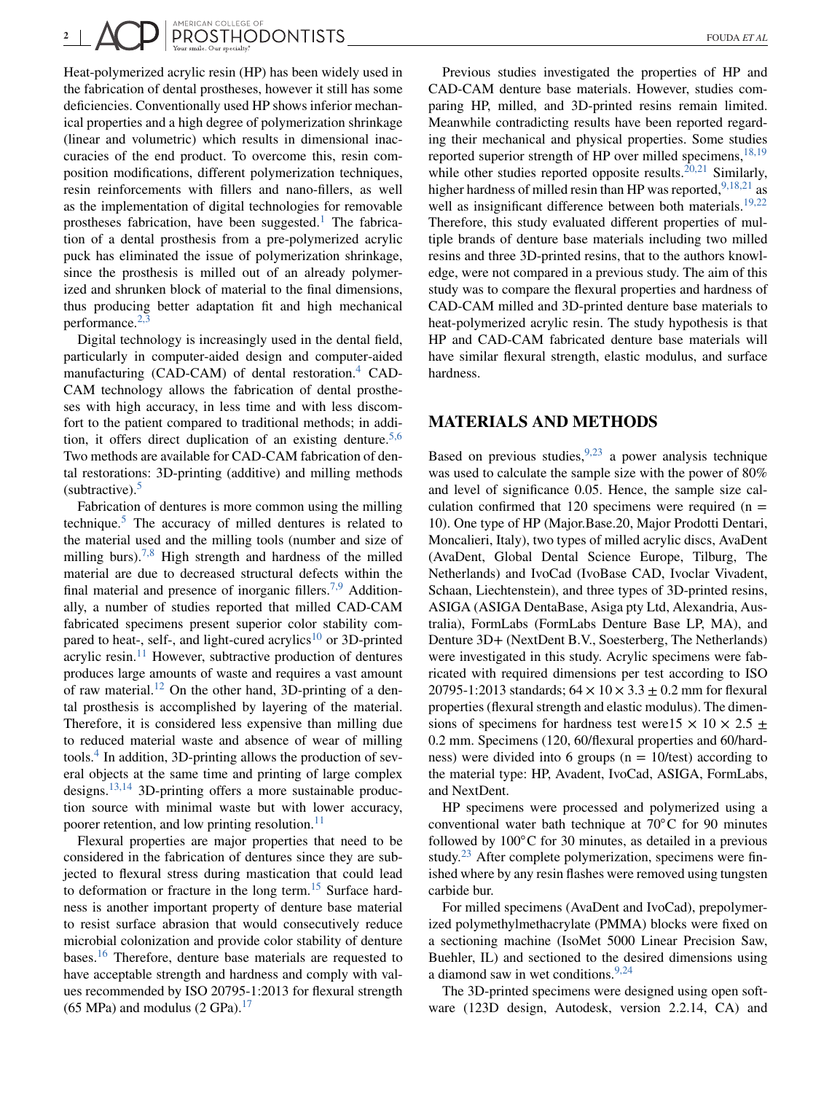2 | **ANERICAN COLLEGE OF PROSTHODONTISTS** 

Heat-polymerized acrylic resin (HP) has been widely used in the fabrication of dental prostheses, however it still has some deficiencies. Conventionally used HP shows inferior mechanical properties and a high degree of polymerization shrinkage (linear and volumetric) which results in dimensional inaccuracies of the end product. To overcome this, resin composition modifications, different polymerization techniques, resin reinforcements with fillers and nano-fillers, as well as the implementation of digital technologies for removable prostheses fabrication, have been suggested.<sup>[1](#page-6-0)</sup> The fabrication of a dental prosthesis from a pre-polymerized acrylic puck has eliminated the issue of polymerization shrinkage, since the prosthesis is milled out of an already polymerized and shrunken block of material to the final dimensions, thus producing better adaptation fit and high mechanical performance.<sup>[2,3](#page-6-0)</sup>

Digital technology is increasingly used in the dental field, particularly in computer-aided design and computer-aided manufacturing (CAD-CAM) of dental restoration.<sup>[4](#page-6-0)</sup> CAD-CAM technology allows the fabrication of dental prostheses with high accuracy, in less time and with less discomfort to the patient compared to traditional methods; in addition, it offers direct duplication of an existing denture.<sup>5,6</sup> Two methods are available for CAD-CAM fabrication of dental restorations: 3D-printing (additive) and milling methods (subtractive). $5$ 

Fabrication of dentures is more common using the milling technique. $5$  The accuracy of milled dentures is related to the material used and the milling tools (number and size of milling burs).<sup>[7,8](#page-6-0)</sup> High strength and hardness of the milled material are due to decreased structural defects within the final material and presence of inorganic fillers.<sup>[7,9](#page-6-0)</sup> Additionally, a number of studies reported that milled CAD-CAM fabricated specimens present superior color stability com-pared to heat-, self-, and light-cured acrylics<sup>[10](#page-6-0)</sup> or 3D-printed acrylic resin. $11$  However, subtractive production of dentures produces large amounts of waste and requires a vast amount of raw material.<sup>12</sup> On the other hand, 3D-printing of a dental prosthesis is accomplished by layering of the material. Therefore, it is considered less expensive than milling due to reduced material waste and absence of wear of milling tools[.4](#page-6-0) In addition, 3D-printing allows the production of several objects at the same time and printing of large complex designs.<sup>[13,14](#page-6-0)</sup> 3D-printing offers a more sustainable production source with minimal waste but with lower accuracy, poorer retention, and low printing resolution.<sup>11</sup>

Flexural properties are major properties that need to be considered in the fabrication of dentures since they are subjected to flexural stress during mastication that could lead to deformation or fracture in the long term.<sup>[15](#page-6-0)</sup> Surface hardness is another important property of denture base material to resist surface abrasion that would consecutively reduce microbial colonization and provide color stability of denture bases.<sup>[16](#page-6-0)</sup> Therefore, denture base materials are requested to have acceptable strength and hardness and comply with values recommended by ISO 20795-1:2013 for flexural strength  $(65 \text{ MPa})$  and modulus  $(2 \text{ GPa})$ .<sup>[17](#page-6-0)</sup>

Previous studies investigated the properties of HP and CAD-CAM denture base materials. However, studies comparing HP, milled, and 3D-printed resins remain limited. Meanwhile contradicting results have been reported regarding their mechanical and physical properties. Some studies reported superior strength of HP over milled specimens,  $18,19$ while other studies reported opposite results.  $20,21$  Similarly, higher hardness of milled resin than HP was reported,  $9,18,21$  as well as insignificant difference between both materials.<sup>[19,22](#page-6-0)</sup> Therefore, this study evaluated different properties of multiple brands of denture base materials including two milled resins and three 3D-printed resins, that to the authors knowledge, were not compared in a previous study. The aim of this study was to compare the flexural properties and hardness of CAD-CAM milled and 3D-printed denture base materials to heat-polymerized acrylic resin. The study hypothesis is that HP and CAD-CAM fabricated denture base materials will have similar flexural strength, elastic modulus, and surface hardness.

## **MATERIALS AND METHODS**

Based on previous studies,  $9,23$  a power analysis technique was used to calculate the sample size with the power of 80% and level of significance 0.05. Hence, the sample size calculation confirmed that 120 specimens were required  $(n =$ 10). One type of HP (Major.Base.20, Major Prodotti Dentari, Moncalieri, Italy), two types of milled acrylic discs, AvaDent (AvaDent, Global Dental Science Europe, Tilburg, The Netherlands) and IvoCad (IvoBase CAD, Ivoclar Vivadent, Schaan, Liechtenstein), and three types of 3D-printed resins, ASIGA (ASIGA DentaBase, Asiga pty Ltd, Alexandria, Australia), FormLabs (FormLabs Denture Base LP, MA), and Denture 3D+ (NextDent B.V., Soesterberg, The Netherlands) were investigated in this study. Acrylic specimens were fabricated with required dimensions per test according to ISO 20795-1:2013 standards;  $64 \times 10 \times 3.3 \pm 0.2$  mm for flexural properties (flexural strength and elastic modulus). The dimensions of specimens for hardness test were15  $\times$  10  $\times$  2.5  $\pm$ 0.2 mm. Specimens (120, 60/flexural properties and 60/hardness) were divided into 6 groups ( $n = 10$ /test) according to the material type: HP, Avadent, IvoCad, ASIGA, FormLabs, and NextDent.

HP specimens were processed and polymerized using a conventional water bath technique at 70◦C for 90 minutes followed by 100◦C for 30 minutes, as detailed in a previous study. $^{23}$  $^{23}$  $^{23}$  After complete polymerization, specimens were finished where by any resin flashes were removed using tungsten carbide bur.

For milled specimens (AvaDent and IvoCad), prepolymerized polymethylmethacrylate (PMMA) blocks were fixed on a sectioning machine (IsoMet 5000 Linear Precision Saw, Buehler, IL) and sectioned to the desired dimensions using a diamond saw in wet conditions. $9,24$ 

The 3D-printed specimens were designed using open software (123D design, Autodesk, version 2.2.14, CA) and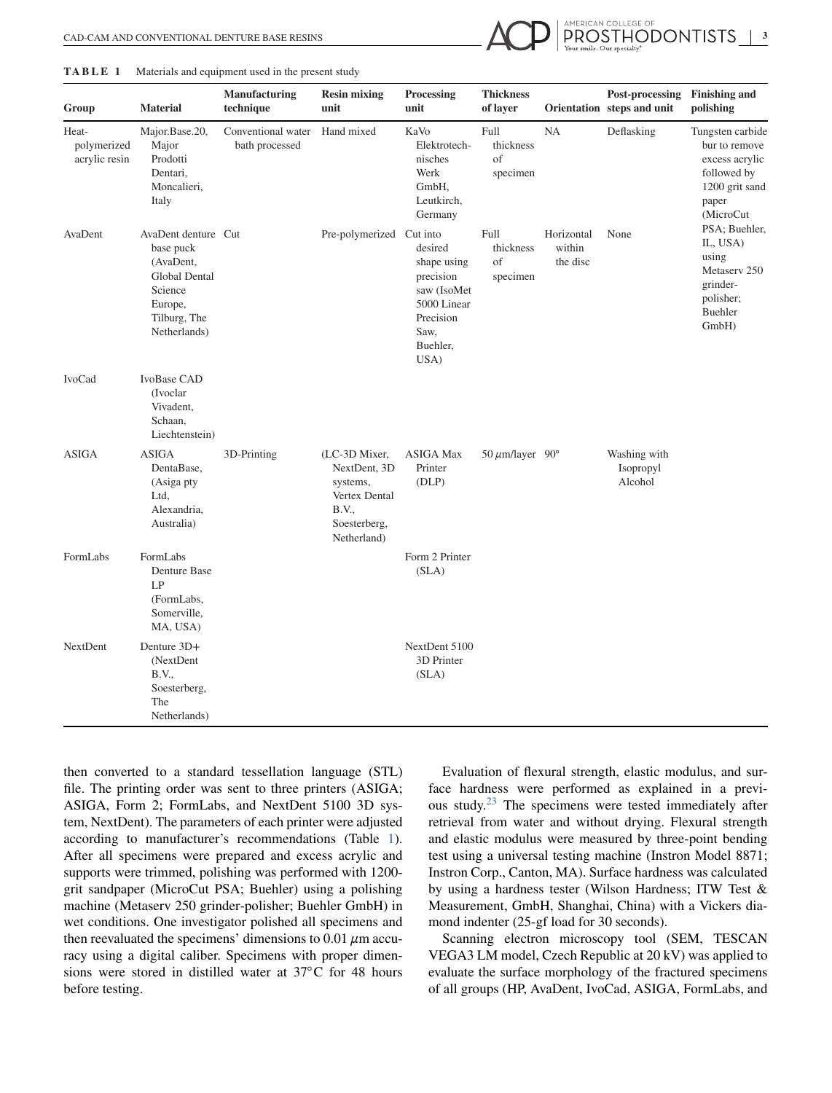

#### **TABLE 1** Materials and equipment used in the present study

| Group                                 | <b>Material</b>                                                                                                             | <b>Manufacturing</b><br>technique    | <b>Resin mixing</b><br>unit                                                                        | Processing<br>unit                                                                                         | <b>Thickness</b><br>of layer        |                                  | Post-processing<br>Orientation steps and unit | <b>Finishing and</b><br>polishing                                                                                                                                                                             |
|---------------------------------------|-----------------------------------------------------------------------------------------------------------------------------|--------------------------------------|----------------------------------------------------------------------------------------------------|------------------------------------------------------------------------------------------------------------|-------------------------------------|----------------------------------|-----------------------------------------------|---------------------------------------------------------------------------------------------------------------------------------------------------------------------------------------------------------------|
| Heat-<br>polymerized<br>acrylic resin | Major.Base.20,<br>Major<br>Prodotti<br>Dentari,<br>Moncalieri,<br>Italy                                                     | Conventional water<br>bath processed | Hand mixed                                                                                         | KaVo<br>Elektrotech-<br>nisches<br>Werk<br>GmbH,<br>Leutkirch,<br>Germany                                  | Full<br>thickness<br>of<br>specimen | <b>NA</b>                        | Deflasking                                    | Tungsten carbide<br>bur to remove<br>excess acrylic<br>followed by<br>1200 grit sand<br>paper<br>(MicroCut<br>PSA; Buehler,<br>IL, USA)<br>using<br>Metasery 250<br>grinder-<br>polisher;<br>Buehler<br>GmbH) |
| AvaDent                               | AvaDent denture Cut<br>base puck<br>(AvaDent,<br><b>Global Dental</b><br>Science<br>Europe,<br>Tilburg, The<br>Netherlands) |                                      | Pre-polymerized Cut into                                                                           | desired<br>shape using<br>precision<br>saw (IsoMet<br>5000 Linear<br>Precision<br>Saw,<br>Buehler,<br>USA) | Full<br>thickness<br>of<br>specimen | Horizontal<br>within<br>the disc | None                                          |                                                                                                                                                                                                               |
| <b>IvoCad</b>                         | IvoBase CAD<br>(Ivoclar<br>Vivadent,<br>Schaan,<br>Liechtenstein)                                                           |                                      |                                                                                                    |                                                                                                            |                                     |                                  |                                               |                                                                                                                                                                                                               |
| <b>ASIGA</b>                          | <b>ASIGA</b><br>DentaBase,<br>(Asiga pty<br>Ltd,<br>Alexandria,<br>Australia)                                               | 3D-Printing                          | (LC-3D Mixer,<br>NextDent, 3D<br>systems,<br>Vertex Dental<br>B.V.,<br>Soesterberg,<br>Netherland) | <b>ASIGA Max</b><br>Printer<br>(DLP)                                                                       | 50 $\mu$ m/layer 90°                |                                  | Washing with<br>Isopropyl<br>Alcohol          |                                                                                                                                                                                                               |
| FormLabs                              | FormLabs<br>Denture Base<br>LP<br>(FormLabs,<br>Somerville,<br>MA, USA)                                                     |                                      |                                                                                                    | Form 2 Printer<br>(SLA)                                                                                    |                                     |                                  |                                               |                                                                                                                                                                                                               |
| NextDent                              | Denture 3D+<br>(NextDent)<br>B.V.,<br>Soesterberg,<br>The<br>Netherlands)                                                   |                                      |                                                                                                    | NextDent 5100<br>3D Printer<br>(SLA)                                                                       |                                     |                                  |                                               |                                                                                                                                                                                                               |

then converted to a standard tessellation language (STL) file. The printing order was sent to three printers (ASIGA; ASIGA, Form 2; FormLabs, and NextDent 5100 3D system, NextDent). The parameters of each printer were adjusted according to manufacturer's recommendations (Table 1). After all specimens were prepared and excess acrylic and supports were trimmed, polishing was performed with 1200 grit sandpaper (MicroCut PSA; Buehler) using a polishing machine (Metaserv 250 grinder-polisher; Buehler GmbH) in wet conditions. One investigator polished all specimens and then reevaluated the specimens' dimensions to  $0.01 \mu m$  accuracy using a digital caliber. Specimens with proper dimensions were stored in distilled water at 37°C for 48 hours before testing.

Evaluation of flexural strength, elastic modulus, and surface hardness were performed as explained in a previous study.[23](#page-6-0) The specimens were tested immediately after retrieval from water and without drying. Flexural strength and elastic modulus were measured by three-point bending test using a universal testing machine (Instron Model 8871; Instron Corp., Canton, MA). Surface hardness was calculated by using a hardness tester (Wilson Hardness; ITW Test & Measurement, GmbH, Shanghai, China) with a Vickers diamond indenter (25-gf load for 30 seconds).

Scanning electron microscopy tool (SEM, TESCAN VEGA3 LM model, Czech Republic at 20 kV) was applied to evaluate the surface morphology of the fractured specimens of all groups (HP, AvaDent, IvoCad, ASIGA, FormLabs, and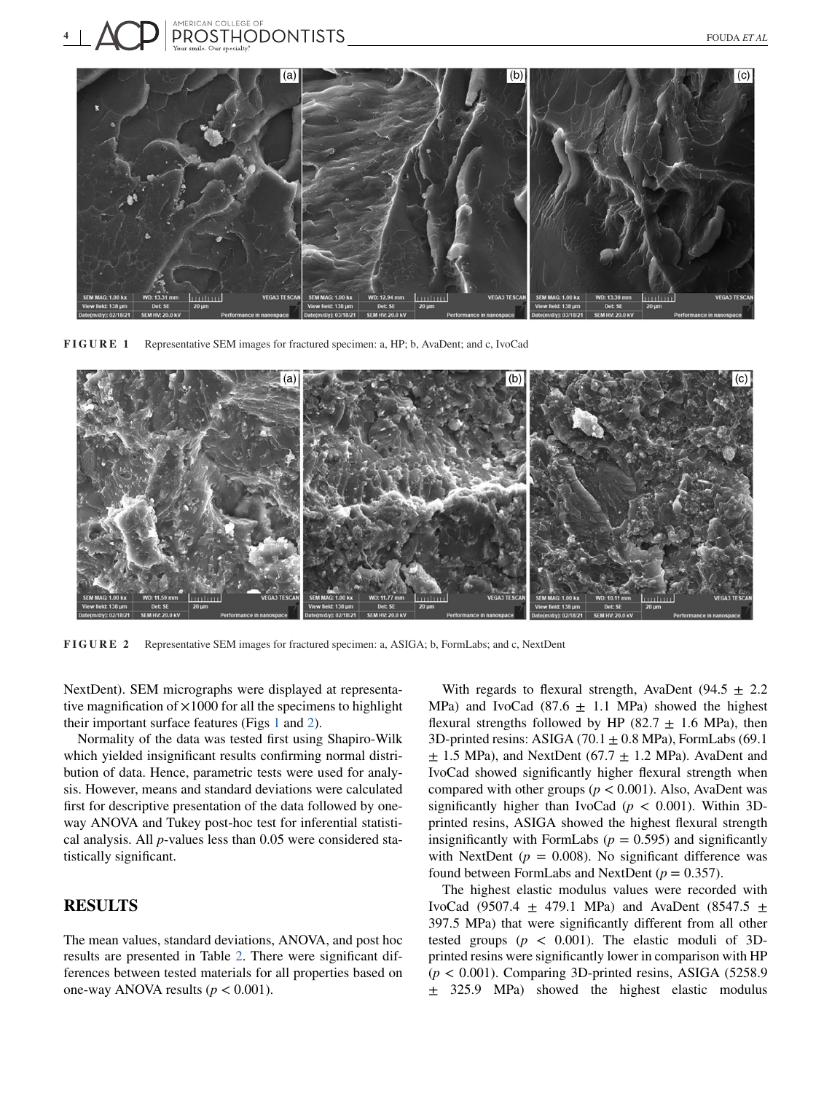<span id="page-3-0"></span>

**FIGURE 1** Representative SEM images for fractured specimen: a, HP; b, AvaDent; and c, IvoCad



**FIGURE 2** Representative SEM images for fractured specimen: a, ASIGA; b, FormLabs; and c, NextDent

NextDent). SEM micrographs were displayed at representative magnification of  $\times$ 1000 for all the specimens to highlight their important surface features (Figs 1 and 2).

Normality of the data was tested first using Shapiro-Wilk which yielded insignificant results confirming normal distribution of data. Hence, parametric tests were used for analysis. However, means and standard deviations were calculated first for descriptive presentation of the data followed by oneway ANOVA and Tukey post-hoc test for inferential statistical analysis. All *p*-values less than 0.05 were considered statistically significant.

# **RESULTS**

The mean values, standard deviations, ANOVA, and post hoc results are presented in Table [2.](#page-4-0) There were significant differences between tested materials for all properties based on one-way ANOVA results  $(p < 0.001)$ .

With regards to flexural strength, AvaDent (94.5  $\pm$  2.2 MPa) and IvoCad (87.6  $\pm$  1.1 MPa) showed the highest flexural strengths followed by HP (82.7  $\pm$  1.6 MPa), then 3D-printed resins: ASIGA  $(70.1 \pm 0.8 \text{ MPa})$ , FormLabs  $(69.1$  $\pm$  1.5 MPa), and NextDent (67.7  $\pm$  1.2 MPa). AvaDent and IvoCad showed significantly higher flexural strength when compared with other groups ( $p < 0.001$ ). Also, AvaDent was significantly higher than IvoCad ( $p < 0.001$ ). Within 3Dprinted resins, ASIGA showed the highest flexural strength insignificantly with FormLabs  $(p = 0.595)$  and significantly with NextDent ( $p = 0.008$ ). No significant difference was found between FormLabs and NextDent (*p* = 0.357).

The highest elastic modulus values were recorded with IvoCad (9507.4  $\pm$  479.1 MPa) and AvaDent (8547.5  $\pm$ 397.5 MPa) that were significantly different from all other tested groups  $(p < 0.001)$ . The elastic moduli of 3Dprinted resins were significantly lower in comparison with HP  $(p < 0.001)$ . Comparing 3D-printed resins, ASIGA (5258.9) ± 325.9 MPa) showed the highest elastic modulus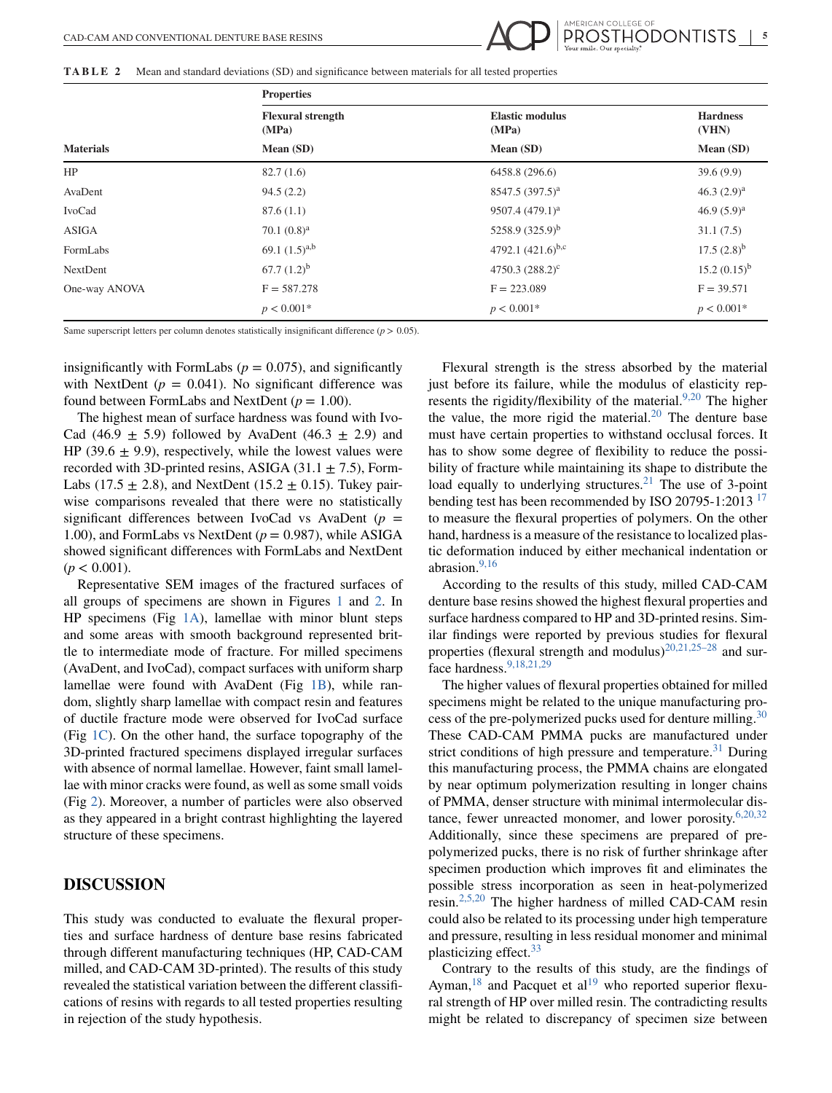<span id="page-4-0"></span>**TABLE 2** Mean and standard deviations (SD) and significance between materials for all tested properties

|                  | <b>Properties</b>                 |                                 |                          |  |  |  |
|------------------|-----------------------------------|---------------------------------|--------------------------|--|--|--|
|                  | <b>Flexural strength</b><br>(MPa) | <b>Elastic modulus</b><br>(MPa) | <b>Hardness</b><br>(VHN) |  |  |  |
| <b>Materials</b> | Mean (SD)                         | Mean (SD)                       | Mean (SD)                |  |  |  |
| HP               | 82.7(1.6)                         | 6458.8 (296.6)                  | 39.6(9.9)                |  |  |  |
| AvaDent          | 94.5(2.2)                         | 8547.5 (397.5) <sup>a</sup>     | 46.3 $(2.9)^a$           |  |  |  |
| IvoCad           | 87.6(1.1)                         | 9507.4 (479.1) <sup>a</sup>     | 46.9 $(5.9)^a$           |  |  |  |
| <b>ASIGA</b>     | 70.1 $(0.8)^a$                    | 5258.9 $(325.9)^b$              | 31.1(7.5)                |  |  |  |
| FormLabs         | 69.1 $(1.5)^{a,b}$                | 4792.1 $(421.6)^{b,c}$          | $17.5(2.8)^{b}$          |  |  |  |
| NextDent         | 67.7 $(1.2)^{b}$                  | 4750.3 $(288.2)^c$              | $15.2 (0.15)^{b}$        |  |  |  |
| One-way ANOVA    | $F = 587.278$                     | $F = 223.089$                   | $F = 39.571$             |  |  |  |
|                  | $p < 0.001*$                      | $p < 0.001*$                    | $p < 0.001*$             |  |  |  |

Same superscript letters per column denotes statistically insignificant difference  $(p > 0.05)$ .

insignificantly with FormLabs  $(p = 0.075)$ , and significantly with NextDent  $(p = 0.041)$ . No significant difference was found between FormLabs and NextDent  $(p = 1.00)$ .

The highest mean of surface hardness was found with Ivo-Cad (46.9  $\pm$  5.9) followed by AvaDent (46.3  $\pm$  2.9) and HP (39.6  $\pm$  9.9), respectively, while the lowest values were recorded with 3D-printed resins, ASIGA  $(31.1 \pm 7.5)$ , Form-Labs (17.5  $\pm$  2.8), and NextDent (15.2  $\pm$  0.15). Tukey pairwise comparisons revealed that there were no statistically significant differences between IvoCad vs AvaDent  $(p =$ 1.00), and FormLabs vs NextDent (*p* = 0.987), while ASIGA showed significant differences with FormLabs and NextDent  $(p < 0.001)$ .

Representative SEM images of the fractured surfaces of all groups of specimens are shown in Figures [1](#page-3-0) and [2.](#page-3-0) In HP specimens (Fig  $1A$ ), lamellae with minor blunt steps and some areas with smooth background represented brittle to intermediate mode of fracture. For milled specimens (AvaDent, and IvoCad), compact surfaces with uniform sharp lamellae were found with AvaDent (Fig [1B\)](#page-3-0), while random, slightly sharp lamellae with compact resin and features of ductile fracture mode were observed for IvoCad surface (Fig [1C\)](#page-3-0). On the other hand, the surface topography of the 3D-printed fractured specimens displayed irregular surfaces with absence of normal lamellae. However, faint small lamellae with minor cracks were found, as well as some small voids (Fig [2\)](#page-3-0). Moreover, a number of particles were also observed as they appeared in a bright contrast highlighting the layered structure of these specimens.

## **DISCUSSION**

This study was conducted to evaluate the flexural properties and surface hardness of denture base resins fabricated through different manufacturing techniques (HP, CAD-CAM milled, and CAD-CAM 3D-printed). The results of this study revealed the statistical variation between the different classifications of resins with regards to all tested properties resulting in rejection of the study hypothesis.

Flexural strength is the stress absorbed by the material just before its failure, while the modulus of elasticity represents the rigidity/flexibility of the material.<sup>9,20</sup> The higher the value, the more rigid the material. $20$  The denture base must have certain properties to withstand occlusal forces. It has to show some degree of flexibility to reduce the possibility of fracture while maintaining its shape to distribute the load equally to underlying structures.<sup>21</sup> The use of 3-point bending test has been recommended by ISO 20795-1:2013<sup>[17](#page-6-0)</sup> to measure the flexural properties of polymers. On the other hand, hardness is a measure of the resistance to localized plastic deformation induced by either mechanical indentation or abrasion.<sup>[9,16](#page-6-0)</sup>

AMERICAN COLLEGE OF

According to the results of this study, milled CAD-CAM denture base resins showed the highest flexural properties and surface hardness compared to HP and 3D-printed resins. Similar findings were reported by previous studies for flexural properties (flexural strength and modulus)<sup>[20,21,25–28](#page-6-0)</sup> and surface hardness[.9,18,21,29](#page-6-0)

The higher values of flexural properties obtained for milled specimens might be related to the unique manufacturing pro-cess of the pre-polymerized pucks used for denture milling.<sup>[30](#page-6-0)</sup> These CAD-CAM PMMA pucks are manufactured under strict conditions of high pressure and temperature.<sup>31</sup> During this manufacturing process, the PMMA chains are elongated by near optimum polymerization resulting in longer chains of PMMA, denser structure with minimal intermolecular distance, fewer unreacted monomer, and lower porosity. $6,20,32$ Additionally, since these specimens are prepared of prepolymerized pucks, there is no risk of further shrinkage after specimen production which improves fit and eliminates the possible stress incorporation as seen in heat-polymerized resin.[2,5,20](#page-6-0) The higher hardness of milled CAD-CAM resin could also be related to its processing under high temperature and pressure, resulting in less residual monomer and minimal plasticizing effect.<sup>[33](#page-6-0)</sup>

Contrary to the results of this study, are the findings of Ayman,  $18$  and Pacquet et al<sup>19</sup> who reported superior flexural strength of HP over milled resin. The contradicting results might be related to discrepancy of specimen size between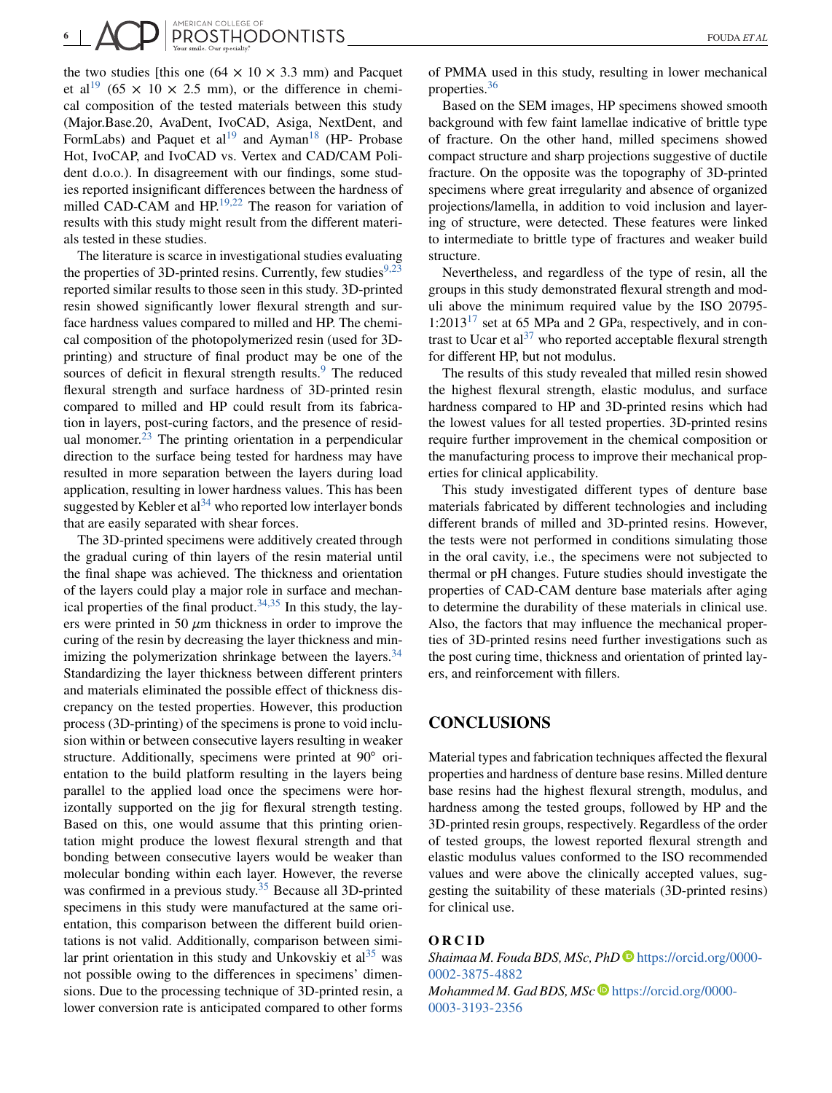the two studies [this one  $(64 \times 10 \times 3.3 \text{ mm})$  and Pacquet et al<sup>19</sup> (65  $\times$  10  $\times$  2.5 mm), or the difference in chemical composition of the tested materials between this study (Major.Base.20, AvaDent, IvoCAD, Asiga, NextDent, and FormLabs) and Paquet et al<sup>[19](#page-6-0)</sup> and Ayman<sup>18</sup> (HP- Probase Hot, IvoCAP, and IvoCAD vs. Vertex and CAD/CAM Polident d.o.o.). In disagreement with our findings, some studies reported insignificant differences between the hardness of milled CAD-CAM and HP.<sup>19,22</sup> The reason for variation of results with this study might result from the different materials tested in these studies.

The literature is scarce in investigational studies evaluating the properties of 3D-printed resins. Currently, few studies<sup>9,23</sup> reported similar results to those seen in this study. 3D-printed resin showed significantly lower flexural strength and surface hardness values compared to milled and HP. The chemical composition of the photopolymerized resin (used for 3Dprinting) and structure of final product may be one of the sources of deficit in flexural strength results.<sup>9</sup> The reduced flexural strength and surface hardness of 3D-printed resin compared to milled and HP could result from its fabrication in layers, post-curing factors, and the presence of resid-ual monomer.<sup>[23](#page-6-0)</sup> The printing orientation in a perpendicular direction to the surface being tested for hardness may have resulted in more separation between the layers during load application, resulting in lower hardness values. This has been suggested by Kebler et  $al^{34}$  who reported low interlayer bonds that are easily separated with shear forces.

The 3D-printed specimens were additively created through the gradual curing of thin layers of the resin material until the final shape was achieved. The thickness and orientation of the layers could play a major role in surface and mechanical properties of the final product. $34,35$  In this study, the layers were printed in 50 *μ*m thickness in order to improve the curing of the resin by decreasing the layer thickness and minimizing the polymerization shrinkage between the layers. $34$ Standardizing the layer thickness between different printers and materials eliminated the possible effect of thickness discrepancy on the tested properties. However, this production process (3D-printing) of the specimens is prone to void inclusion within or between consecutive layers resulting in weaker structure. Additionally, specimens were printed at 90<sup>°</sup> orientation to the build platform resulting in the layers being parallel to the applied load once the specimens were horizontally supported on the jig for flexural strength testing. Based on this, one would assume that this printing orientation might produce the lowest flexural strength and that bonding between consecutive layers would be weaker than molecular bonding within each layer. However, the reverse was confirmed in a previous study.<sup>[35](#page-6-0)</sup> Because all 3D-printed specimens in this study were manufactured at the same orientation, this comparison between the different build orientations is not valid. Additionally, comparison between similar print orientation in this study and Unkovskiy et  $al<sup>35</sup>$  was not possible owing to the differences in specimens' dimensions. Due to the processing technique of 3D-printed resin, a lower conversion rate is anticipated compared to other forms

of PMMA used in this study, resulting in lower mechanical properties[.36](#page-6-0)

Based on the SEM images, HP specimens showed smooth background with few faint lamellae indicative of brittle type of fracture. On the other hand, milled specimens showed compact structure and sharp projections suggestive of ductile fracture. On the opposite was the topography of 3D-printed specimens where great irregularity and absence of organized projections/lamella, in addition to void inclusion and layering of structure, were detected. These features were linked to intermediate to brittle type of fractures and weaker build structure.

Nevertheless, and regardless of the type of resin, all the groups in this study demonstrated flexural strength and moduli above the minimum required value by the ISO 20795-  $1:2013^{17}$  set at 65 MPa and 2 GPa, respectively, and in con-trast to Ucar et al<sup>[37](#page-6-0)</sup> who reported acceptable flexural strength for different HP, but not modulus.

The results of this study revealed that milled resin showed the highest flexural strength, elastic modulus, and surface hardness compared to HP and 3D-printed resins which had the lowest values for all tested properties. 3D-printed resins require further improvement in the chemical composition or the manufacturing process to improve their mechanical properties for clinical applicability.

This study investigated different types of denture base materials fabricated by different technologies and including different brands of milled and 3D-printed resins. However, the tests were not performed in conditions simulating those in the oral cavity, i.e., the specimens were not subjected to thermal or pH changes. Future studies should investigate the properties of CAD-CAM denture base materials after aging to determine the durability of these materials in clinical use. Also, the factors that may influence the mechanical properties of 3D-printed resins need further investigations such as the post curing time, thickness and orientation of printed layers, and reinforcement with fillers.

# **CONCLUSIONS**

Material types and fabrication techniques affected the flexural properties and hardness of denture base resins. Milled denture base resins had the highest flexural strength, modulus, and hardness among the tested groups, followed by HP and the 3D-printed resin groups, respectively. Regardless of the order of tested groups, the lowest reported flexural strength and elastic modulus values conformed to the ISO recommended values and were above the clinically accepted values, suggesting the suitability of these materials (3D-printed resins) for clinical use.

## **ORCID**

*Shaimaa M. Fouda BDS, MSc, PhD* [https://orcid.org/0000-](https://orcid.org/0000-0002-3875-4882) [0002-3875-4882](https://orcid.org/0000-0002-3875-4882) *Mohammed M. Gad BDS, MSc*  $\bullet$  [https://orcid.org/0000-](https://orcid.org/0000-0003-3193-2356) [0003-3193-2356](https://orcid.org/0000-0003-3193-2356)